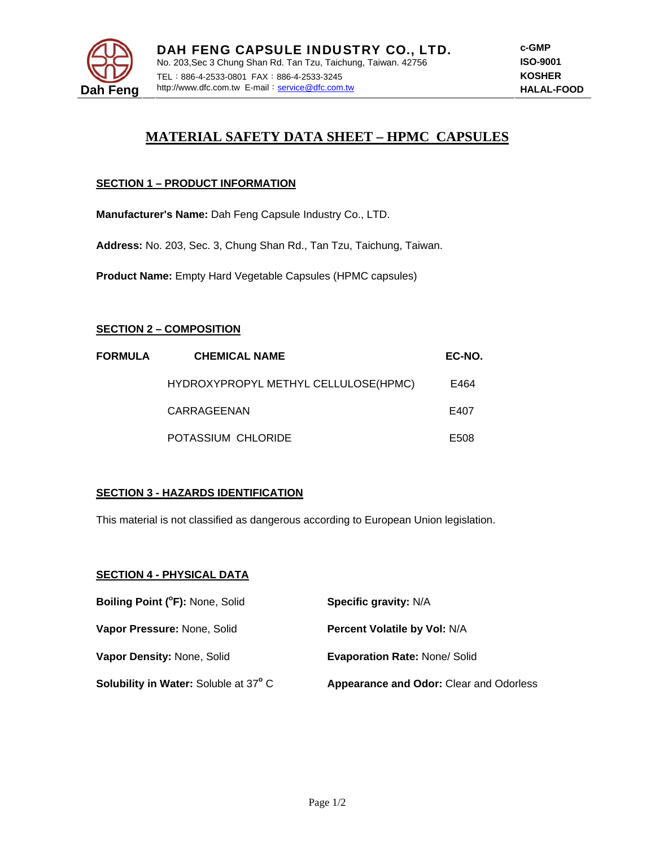

# **MATERIAL SAFETY DATA SHEET – HPMC CAPSULES**

## **SECTION 1 – PRODUCT INFORMATION**

**Manufacturer's Name:** Dah Feng Capsule Industry Co., LTD.

**Address:** No. 203, Sec. 3, Chung Shan Rd., Tan Tzu, Taichung, Taiwan.

**Product Name:** Empty Hard Vegetable Capsules (HPMC capsules)

### **SECTION 2 – COMPOSITION**

| <b>FORMULA</b> | <b>CHEMICAL NAME</b>                 | EC-NO. |
|----------------|--------------------------------------|--------|
|                | HYDROXYPROPYL METHYL CELLULOSE(HPMC) | E464   |
|                | CARRAGEENAN                          | E407   |
|                | POTASSIUM CHLORIDE                   | E508   |

### **SECTION 3 - HAZARDS IDENTIFICATION**

This material is not classified as dangerous according to European Union legislation.

### **SECTION 4 - PHYSICAL DATA**

| Boiling Point (°F): None, Solid       | Specific gravity: N/A                          |
|---------------------------------------|------------------------------------------------|
| Vapor Pressure: None, Solid           | <b>Percent Volatile by Vol: N/A</b>            |
| Vapor Density: None, Solid            | <b>Evaporation Rate: None/ Solid</b>           |
| Solubility in Water: Soluble at 37° C | <b>Appearance and Odor: Clear and Odorless</b> |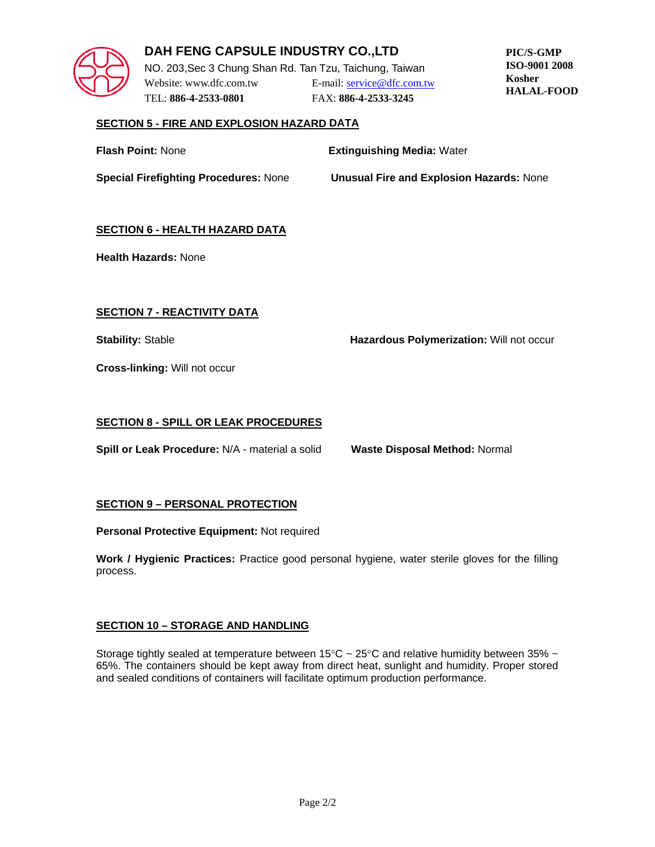

## **DAH FENG CAPSULE INDUSTRY CO.,LTD**

NO. 203,Sec 3 Chung Shan Rd. Tan Tzu, Taichung, Taiwan Website: www.dfc.com.tw E-mail: service@dfc.com.tw TEL: **886-4-2533-0801** FAX: **886-4-2533-3245**

**PIC/S-GMP ISO-9001 2008 Kosher HALAL-FOOD**

## **SECTION 5 - FIRE AND EXPLOSION HAZARD DATA**

| <b>Flash Point: None</b>                     | <b>Extinguishing Media: Water</b>               |
|----------------------------------------------|-------------------------------------------------|
| <b>Special Firefighting Procedures: None</b> | <b>Unusual Fire and Explosion Hazards: None</b> |

## **SECTION 6 - HEALTH HAZARD DATA**

**Health Hazards:** None

## **SECTION 7 - REACTIVITY DATA**

**Stability:** Stable **Hazardous Polymerization:** Will not occur

**Cross-linking:** Will not occur

## **SECTION 8 - SPILL OR LEAK PROCEDURES**

**Spill or Leak Procedure:** N/A - material a solid **Waste Disposal Method:** Normal

### **SECTION 9 – PERSONAL PROTECTION**

**Personal Protective Equipment:** Not required

**Work / Hygienic Practices:** Practice good personal hygiene, water sterile gloves for the filling process.

### **SECTION 10 – STORAGE AND HANDLING**

Storage tightly sealed at temperature between 15°C  $\sim$  25°C and relative humidity between 35%  $\sim$ 65%. The containers should be kept away from direct heat, sunlight and humidity. Proper stored and sealed conditions of containers will facilitate optimum production performance.